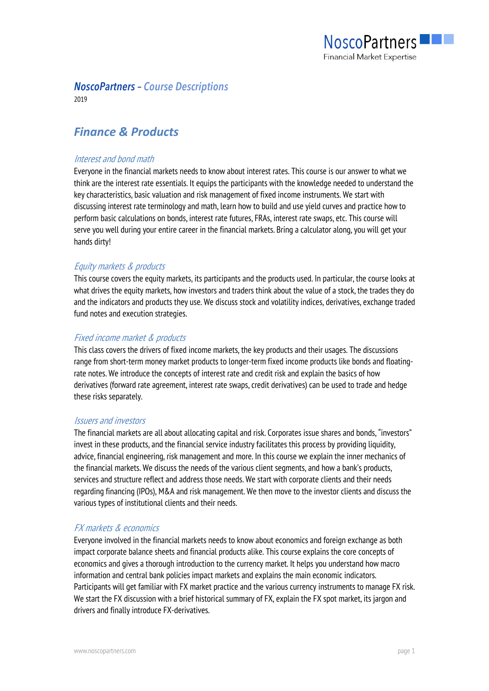# *NoscoPartners – Course Descriptions*

2019

# *Finance & Products*

# Interest and bond math

Everyone in the financial markets needs to know about interest rates. This course is our answer to what we think are the interest rate essentials. It equips the participants with the knowledge needed to understand the key characteristics, basic valuation and risk management of fixed income instruments. We start with discussing interest rate terminology and math, learn how to build and use yield curves and practice how to perform basic calculations on bonds, interest rate futures, FRAs, interest rate swaps, etc. This course will serve you well during your entire career in the financial markets. Bring a calculator along, you will get your hands dirty!

# Equity markets & products

This course covers the equity markets, its participants and the products used. In particular, the course looks at what drives the equity markets, how investors and traders think about the value of a stock, the trades they do and the indicators and products they use. We discuss stock and volatility indices, derivatives, exchange traded fund notes and execution strategies.

# Fixed income market & products

This class covers the drivers of fixed income markets, the key products and their usages. The discussions range from short-term money market products to longer-term fixed income products like bonds and floatingrate notes. We introduce the concepts of interest rate and credit risk and explain the basics of how derivatives (forward rate agreement, interest rate swaps, credit derivatives) can be used to trade and hedge these risks separately.

# Issuers and investors

The financial markets are all about allocating capital and risk. Corporates issue shares and bonds, "investors" invest in these products, and the financial service industry facilitates this process by providing liquidity, advice, financial engineering, risk management and more. In this course we explain the inner mechanics of the financial markets. We discuss the needs of the various client segments, and how a bank's products, services and structure reflect and address those needs. We start with corporate clients and their needs regarding financing (IPOs), M&A and risk management. We then move to the investor clients and discuss the various types of institutional clients and their needs.

# FX markets & economics

Everyone involved in the financial markets needs to know about economics and foreign exchange as both impact corporate balance sheets and financial products alike. This course explains the core concepts of economics and gives a thorough introduction to the currency market. It helps you understand how macro information and central bank policies impact markets and explains the main economic indicators. Participants will get familiar with FX market practice and the various currency instruments to manage FX risk. We start the FX discussion with a brief historical summary of FX, explain the FX spot market, its jargon and drivers and finally introduce FX-derivatives.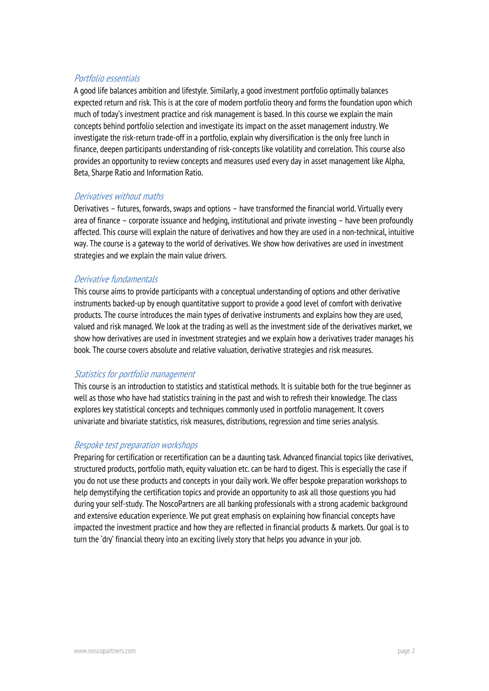# Portfolio essentials

A good life balances ambition and lifestyle. Similarly, a good investment portfolio optimally balances expected return and risk. This is at the core of modern portfolio theory and forms the foundation upon which much of today's investment practice and risk management is based. In this course we explain the main concepts behind portfolio selection and investigate its impact on the asset management industry. We investigate the risk-return trade-off in a portfolio, explain why diversification is the only free lunch in finance, deepen participants understanding of risk-concepts like volatility and correlation. This course also provides an opportunity to review concepts and measures used every day in asset management like Alpha, Beta, Sharpe Ratio and Information Ratio.

## Derivatives without maths

Derivatives – futures, forwards, swaps and options – have transformed the financial world. Virtually every area of finance – corporate issuance and hedging, institutional and private investing – have been profoundly affected. This course will explain the nature of derivatives and how they are used in a non-technical, intuitive way. The course is a gateway to the world of derivatives. We show how derivatives are used in investment strategies and we explain the main value drivers.

# Derivative fundamentals

This course aims to provide participants with a conceptual understanding of options and other derivative instruments backed-up by enough quantitative support to provide a good level of comfort with derivative products. The course introduces the main types of derivative instruments and explains how they are used, valued and risk managed. We look at the trading as well as the investment side of the derivatives market, we show how derivatives are used in investment strategies and we explain how a derivatives trader manages his book. The course covers absolute and relative valuation, derivative strategies and risk measures.

# Statistics for portfolio management

This course is an introduction to statistics and statistical methods. It is suitable both for the true beginner as well as those who have had statistics training in the past and wish to refresh their knowledge. The class explores key statistical concepts and techniques commonly used in portfolio management. It covers univariate and bivariate statistics, risk measures, distributions, regression and time series analysis.

## Bespoke test preparation workshops

Preparing for certification or recertification can be a daunting task. Advanced financial topics like derivatives, structured products, portfolio math, equity valuation etc. can be hard to digest. This is especially the case if you do not use these products and concepts in your daily work. We offer bespoke preparation workshops to help demystifying the certification topics and provide an opportunity to ask all those questions you had during your self-study. The NoscoPartners are all banking professionals with a strong academic background and extensive education experience. We put great emphasis on explaining how financial concepts have impacted the investment practice and how they are reflected in financial products & markets. Our goal is to turn the 'dry' financial theory into an exciting lively story that helps you advance in your job.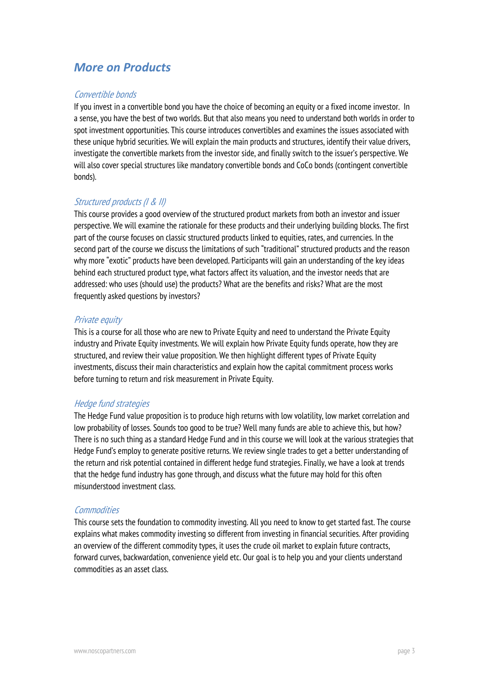# *More on Products*

# Convertible bonds

If you invest in a convertible bond you have the choice of becoming an equity or a fixed income investor. In a sense, you have the best of two worlds. But that also means you need to understand both worlds in order to spot investment opportunities. This course introduces convertibles and examines the issues associated with these unique hybrid securities. We will explain the main products and structures, identify their value drivers, investigate the convertible markets from the investor side, and finally switch to the issuer's perspective. We will also cover special structures like mandatory convertible bonds and CoCo bonds (contingent convertible bonds).

## Structured products (I & II)

This course provides a good overview of the structured product markets from both an investor and issuer perspective. We will examine the rationale for these products and their underlying building blocks. The first part of the course focuses on classic structured products linked to equities, rates, and currencies. In the second part of the course we discuss the limitations of such "traditional" structured products and the reason why more "exotic" products have been developed. Participants will gain an understanding of the key ideas behind each structured product type, what factors affect its valuation, and the investor needs that are addressed: who uses (should use) the products? What are the benefits and risks? What are the most frequently asked questions by investors?

## Private equity

This is a course for all those who are new to Private Equity and need to understand the Private Equity industry and Private Equity investments. We will explain how Private Equity funds operate, how they are structured, and review their value proposition. We then highlight different types of Private Equity investments, discuss their main characteristics and explain how the capital commitment process works before turning to return and risk measurement in Private Equity.

## Hedge fund strategies

The Hedge Fund value proposition is to produce high returns with low volatility, low market correlation and low probability of losses. Sounds too good to be true? Well many funds are able to achieve this, but how? There is no such thing as a standard Hedge Fund and in this course we will look at the various strategies that Hedge Fund's employ to generate positive returns. We review single trades to get a better understanding of the return and risk potential contained in different hedge fund strategies. Finally, we have a look at trends that the hedge fund industry has gone through, and discuss what the future may hold for this often misunderstood investment class.

## **Commodities**

This course sets the foundation to commodity investing. All you need to know to get started fast. The course explains what makes commodity investing so different from investing in financial securities. After providing an overview of the different commodity types, it uses the crude oil market to explain future contracts, forward curves, backwardation, convenience yield etc. Our goal is to help you and your clients understand commodities as an asset class.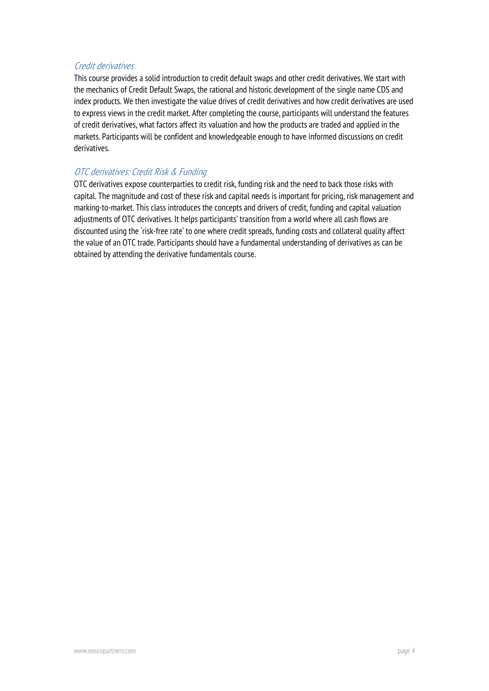# Credit derivatives

This course provides a solid introduction to credit default swaps and other credit derivatives. We start with the mechanics of Credit Default Swaps, the rational and historic development of the single name CDS and index products. We then investigate the value drives of credit derivatives and how credit derivatives are used to express views in the credit market. After completing the course, participants will understand the features of credit derivatives, what factors affect its valuation and how the products are traded and applied in the markets. Participants will be confident and knowledgeable enough to have informed discussions on credit derivatives.

# OTC derivatives: Credit Risk & Funding

OTC derivatives expose counterparties to credit risk, funding risk and the need to back those risks with capital. The magnitude and cost of these risk and capital needs is important for pricing, risk management and marking-to-market. This class introduces the concepts and drivers of credit, funding and capital valuation adjustments of OTC derivatives. It helps participants' transition from a world where all cash flows are discounted using the 'risk-free rate' to one where credit spreads, funding costs and collateral quality affect the value of an OTC trade. Participants should have a fundamental understanding of derivatives as can be obtained by attending the derivative fundamentals course.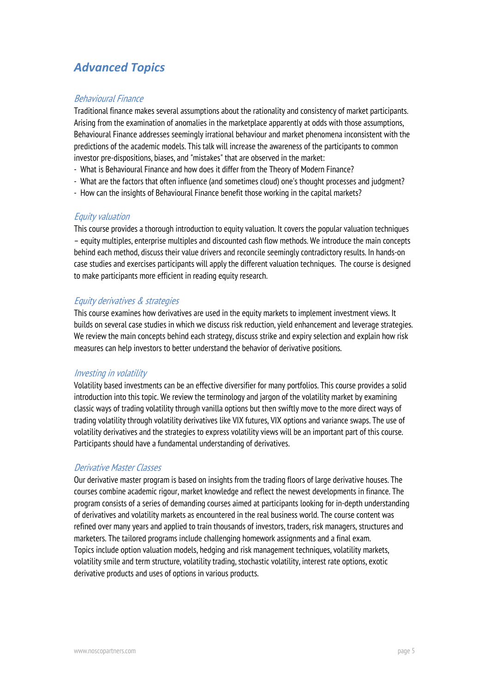# *Advanced Topics*

## Behavioural Finance

Traditional finance makes several assumptions about the rationality and consistency of market participants. Arising from the examination of anomalies in the marketplace apparently at odds with those assumptions, Behavioural Finance addresses seemingly irrational behaviour and market phenomena inconsistent with the predictions of the academic models. This talk will increase the awareness of the participants to common investor pre-dispositions, biases, and "mistakes" that are observed in the market:

- What is Behavioural Finance and how does it differ from the Theory of Modern Finance?
- What are the factors that often influence (and sometimes cloud) one's thought processes and judgment?
- How can the insights of Behavioural Finance benefit those working in the capital markets?

#### Equity valuation

This course provides a thorough introduction to equity valuation. It covers the popular valuation techniques – equity multiples, enterprise multiples and discounted cash flow methods. We introduce the main concepts behind each method, discuss their value drivers and reconcile seemingly contradictory results. In hands-on case studies and exercises participants will apply the different valuation techniques. The course is designed to make participants more efficient in reading equity research.

## Equity derivatives & strategies

This course examines how derivatives are used in the equity markets to implement investment views. It builds on several case studies in which we discuss risk reduction, yield enhancement and leverage strategies. We review the main concepts behind each strategy, discuss strike and expiry selection and explain how risk measures can help investors to better understand the behavior of derivative positions.

## Investing in volatility

Volatility based investments can be an effective diversifier for many portfolios. This course provides a solid introduction into this topic. We review the terminology and jargon of the volatility market by examining classic ways of trading volatility through vanilla options but then swiftly move to the more direct ways of trading volatility through volatility derivatives like VIX futures, VIX options and variance swaps. The use of volatility derivatives and the strategies to express volatility views will be an important part of this course. Participants should have a fundamental understanding of derivatives.

## Derivative Master Classes

Our derivative master program is based on insights from the trading floors of large derivative houses. The courses combine academic rigour, market knowledge and reflect the newest developments in finance. The program consists of a series of demanding courses aimed at participants looking for in-depth understanding of derivatives and volatility markets as encountered in the real business world. The course content was refined over many years and applied to train thousands of investors, traders, risk managers, structures and marketers. The tailored programs include challenging homework assignments and a final exam. Topics include option valuation models, hedging and risk management techniques, volatility markets, volatility smile and term structure, volatility trading, stochastic volatility, interest rate options, exotic derivative products and uses of options in various products.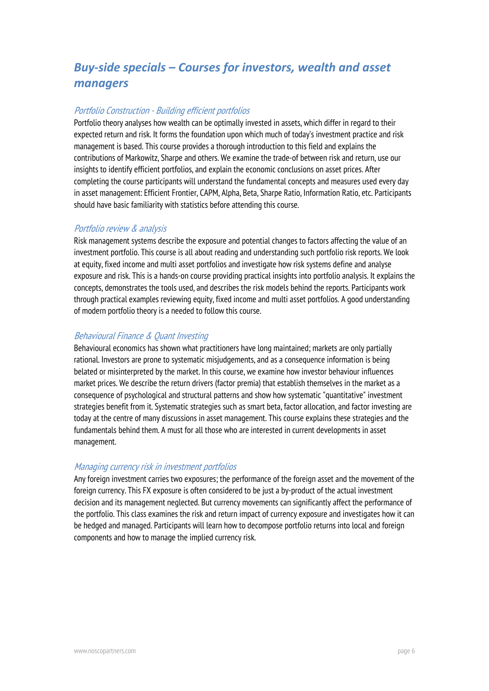# *Buy-side specials – Courses for investors, wealth and asset managers*

## Portfolio Construction - Building efficient portfolios

Portfolio theory analyses how wealth can be optimally invested in assets, which differ in regard to their expected return and risk. It forms the foundation upon which much of today's investment practice and risk management is based. This course provides a thorough introduction to this field and explains the contributions of Markowitz, Sharpe and others. We examine the trade-of between risk and return, use our insights to identify efficient portfolios, and explain the economic conclusions on asset prices. After completing the course participants will understand the fundamental concepts and measures used every day in asset management: Efficient Frontier, CAPM, Alpha, Beta, Sharpe Ratio, Information Ratio, etc. Participants should have basic familiarity with statistics before attending this course.

## Portfolio review & analysis

Risk management systems describe the exposure and potential changes to factors affecting the value of an investment portfolio. This course is all about reading and understanding such portfolio risk reports. We look at equity, fixed income and multi asset portfolios and investigate how risk systems define and analyse exposure and risk. This is a hands-on course providing practical insights into portfolio analysis. It explains the concepts, demonstrates the tools used, and describes the risk models behind the reports. Participants work through practical examples reviewing equity, fixed income and multi asset portfolios. A good understanding of modern portfolio theory is a needed to follow this course.

## Behavioural Finance & Quant Investing

Behavioural economics has shown what practitioners have long maintained; markets are only partially rational. Investors are prone to systematic misjudgements, and as a consequence information is being belated or misinterpreted by the market. In this course, we examine how investor behaviour influences market prices. We describe the return drivers (factor premia) that establish themselves in the market as a consequence of psychological and structural patterns and show how systematic "quantitative" investment strategies benefit from it. Systematic strategies such as smart beta, factor allocation, and factor investing are today at the centre of many discussions in asset management. This course explains these strategies and the fundamentals behind them. A must for all those who are interested in current developments in asset management.

## Managing currency risk in investment portfolios

Any foreign investment carries two exposures; the performance of the foreign asset and the movement of the foreign currency. This FX exposure is often considered to be just a by-product of the actual investment decision and its management neglected. But currency movements can significantly affect the performance of the portfolio. This class examines the risk and return impact of currency exposure and investigates how it can be hedged and managed. Participants will learn how to decompose portfolio returns into local and foreign components and how to manage the implied currency risk.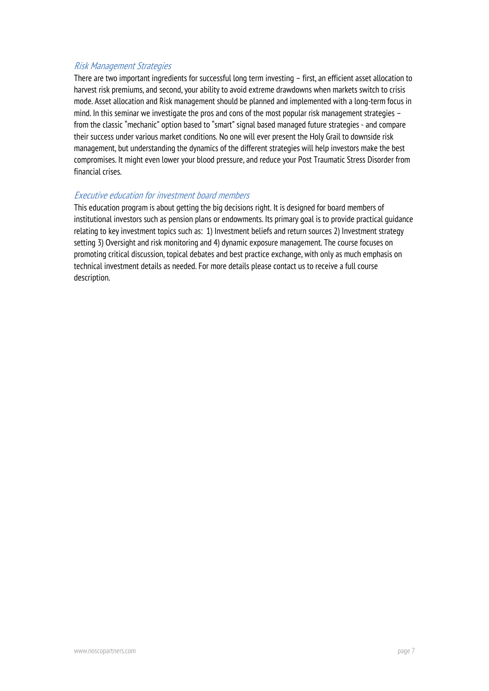# Risk Management Strategies

There are two important ingredients for successful long term investing – first, an efficient asset allocation to harvest risk premiums, and second, your ability to avoid extreme drawdowns when markets switch to crisis mode. Asset allocation and Risk management should be planned and implemented with a long-term focus in mind. In this seminar we investigate the pros and cons of the most popular risk management strategies – from the classic "mechanic" option based to "smart" signal based managed future strategies - and compare their success under various market conditions. No one will ever present the Holy Grail to downside risk management, but understanding the dynamics of the different strategies will help investors make the best compromises. It might even lower your blood pressure, and reduce your Post Traumatic Stress Disorder from financial crises.

# Executive education for investment board members

This education program is about getting the big decisions right. It is designed for board members of institutional investors such as pension plans or endowments. Its primary goal is to provide practical guidance relating to key investment topics such as: 1) Investment beliefs and return sources 2) Investment strategy setting 3) Oversight and risk monitoring and 4) dynamic exposure management. The course focuses on promoting critical discussion, topical debates and best practice exchange, with only as much emphasis on technical investment details as needed. For more details please contact us to receive a full course description.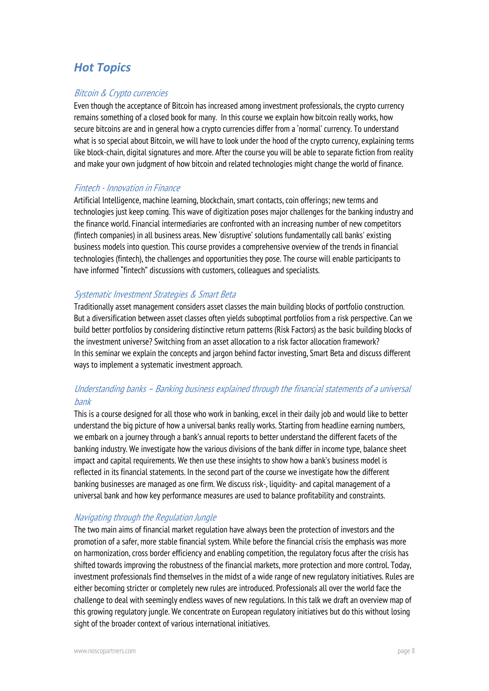# *Hot Topics*

# Bitcoin & Crypto currencies

Even though the acceptance of Bitcoin has increased among investment professionals, the crypto currency remains something of a closed book for many. In this course we explain how bitcoin really works, how secure bitcoins are and in general how a crypto currencies differ from a 'normal' currency. To understand what is so special about Bitcoin, we will have to look under the hood of the crypto currency, explaining terms like block-chain, digital signatures and more. After the course you will be able to separate fiction from reality and make your own judgment of how bitcoin and related technologies might change the world of finance.

## Fintech - Innovation in Finance

Artificial Intelligence, machine learning, blockchain, smart contacts, coin offerings; new terms and technologies just keep coming. This wave of digitization poses major challenges for the banking industry and the finance world. Financial intermediaries are confronted with an increasing number of new competitors (fintech companies) in all business areas. New 'disruptive' solutions fundamentally call banks' existing business models into question. This course provides a comprehensive overview of the trends in financial technologies (fintech), the challenges and opportunities they pose. The course will enable participants to have informed "fintech" discussions with customers, colleagues and specialists.

## Systematic Investment Strategies & Smart Beta

Traditionally asset management considers asset classes the main building blocks of portfolio construction. But a diversification between asset classes often yields suboptimal portfolios from a risk perspective. Can we build better portfolios by considering distinctive return patterns (Risk Factors) as the basic building blocks of the investment universe? Switching from an asset allocation to a risk factor allocation framework? In this seminar we explain the concepts and jargon behind factor investing, Smart Beta and discuss different ways to implement a systematic investment approach.

# Understanding banks – Banking business explained through the financial statements of a universal bank

This is a course designed for all those who work in banking, excel in their daily job and would like to better understand the big picture of how a universal banks really works. Starting from headline earning numbers, we embark on a journey through a bank's annual reports to better understand the different facets of the banking industry. We investigate how the various divisions of the bank differ in income type, balance sheet impact and capital requirements. We then use these insights to show how a bank's business model is reflected in its financial statements. In the second part of the course we investigate how the different banking businesses are managed as one firm. We discuss risk-, liquidity- and capital management of a universal bank and how key performance measures are used to balance profitability and constraints.

## Navigating through the Regulation Jungle

The two main aims of financial market regulation have always been the protection of investors and the promotion of a safer, more stable financial system. While before the financial crisis the emphasis was more on harmonization, cross border efficiency and enabling competition, the regulatory focus after the crisis has shifted towards improving the robustness of the financial markets, more protection and more control. Today, investment professionals find themselves in the midst of a wide range of new regulatory initiatives. Rules are either becoming stricter or completely new rules are introduced. Professionals all over the world face the challenge to deal with seemingly endless waves of new regulations. In this talk we draft an overview map of this growing regulatory jungle. We concentrate on European regulatory initiatives but do this without losing sight of the broader context of various international initiatives.